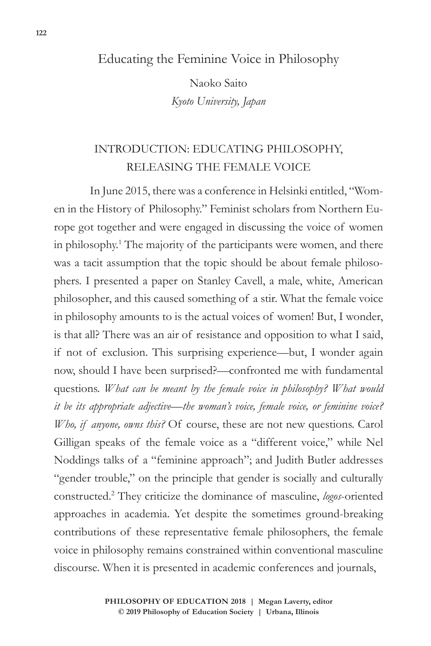### Educating the Feminine Voice in Philosophy

Naoko Saito *Kyoto University, Japan*

## INTRODUCTION: EDUCATING PHILOSOPHY, RELEASING THE FEMALE VOICE

In June 2015, there was a conference in Helsinki entitled, "Women in the History of Philosophy." Feminist scholars from Northern Europe got together and were engaged in discussing the voice of women in philosophy.1 The majority of the participants were women, and there was a tacit assumption that the topic should be about female philosophers. I presented a paper on Stanley Cavell, a male, white, American philosopher, and this caused something of a stir. What the female voice in philosophy amounts to is the actual voices of women! But, I wonder, is that all? There was an air of resistance and opposition to what I said, if not of exclusion. This surprising experience—but, I wonder again now, should I have been surprised?—confronted me with fundamental questions. *What can be meant by the female voice in philosophy? What would it be its appropriate adjective—the woman's voice, female voice, or feminine voice? Who, if anyone, owns this?* Of course, these are not new questions. Carol Gilligan speaks of the female voice as a "different voice," while Nel Noddings talks of a "feminine approach"; and Judith Butler addresses "gender trouble," on the principle that gender is socially and culturally constructed.2 They criticize the dominance of masculine, *logos*-oriented approaches in academia. Yet despite the sometimes ground-breaking contributions of these representative female philosophers, the female voice in philosophy remains constrained within conventional masculine discourse. When it is presented in academic conferences and journals,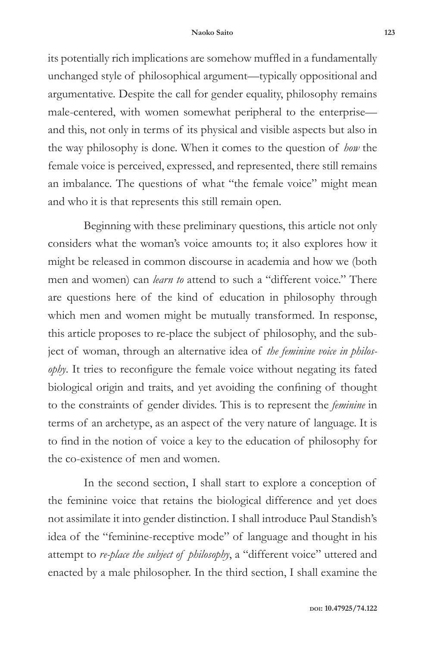its potentially rich implications are somehow muffled in a fundamentally unchanged style of philosophical argument—typically oppositional and argumentative. Despite the call for gender equality, philosophy remains male-centered, with women somewhat peripheral to the enterprise and this, not only in terms of its physical and visible aspects but also in the way philosophy is done. When it comes to the question of *how* the female voice is perceived, expressed, and represented, there still remains an imbalance. The questions of what "the female voice" might mean and who it is that represents this still remain open.

Beginning with these preliminary questions, this article not only considers what the woman's voice amounts to; it also explores how it might be released in common discourse in academia and how we (both men and women) can *learn to* attend to such a "different voice." There are questions here of the kind of education in philosophy through which men and women might be mutually transformed. In response, this article proposes to re-place the subject of philosophy, and the subject of woman, through an alternative idea of *the feminine voice in philosophy*. It tries to reconfigure the female voice without negating its fated biological origin and traits, and yet avoiding the confining of thought to the constraints of gender divides. This is to represent the *feminine* in terms of an archetype, as an aspect of the very nature of language. It is to find in the notion of voice a key to the education of philosophy for the co-existence of men and women.

In the second section, I shall start to explore a conception of the feminine voice that retains the biological difference and yet does not assimilate it into gender distinction. I shall introduce Paul Standish's idea of the "feminine-receptive mode" of language and thought in his attempt to *re-place the subject of philosophy*, a "different voice" uttered and enacted by a male philosopher. In the third section, I shall examine the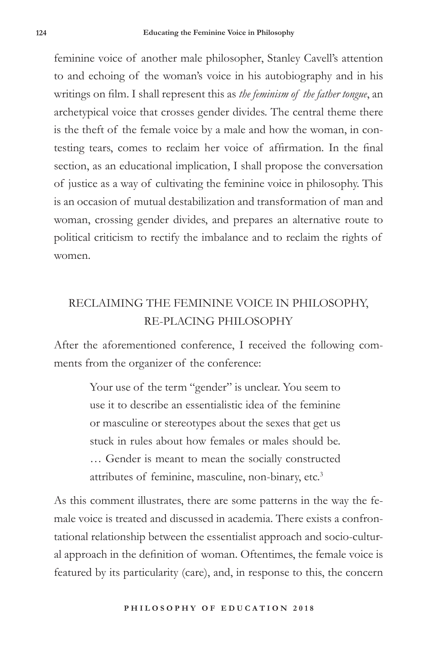feminine voice of another male philosopher, Stanley Cavell's attention to and echoing of the woman's voice in his autobiography and in his writings on film. I shall represent this as *the feminism of the father tongue*, an archetypical voice that crosses gender divides. The central theme there is the theft of the female voice by a male and how the woman, in contesting tears, comes to reclaim her voice of affirmation. In the final section, as an educational implication, I shall propose the conversation of justice as a way of cultivating the feminine voice in philosophy. This is an occasion of mutual destabilization and transformation of man and woman, crossing gender divides, and prepares an alternative route to political criticism to rectify the imbalance and to reclaim the rights of women.

# RECLAIMING THE FEMININE VOICE IN PHILOSOPHY, RE-PLACING PHILOSOPHY

After the aforementioned conference, I received the following comments from the organizer of the conference:

> Your use of the term "gender" is unclear. You seem to use it to describe an essentialistic idea of the feminine or masculine or stereotypes about the sexes that get us stuck in rules about how females or males should be. … Gender is meant to mean the socially constructed attributes of feminine, masculine, non-binary, etc.<sup>3</sup>

As this comment illustrates, there are some patterns in the way the female voice is treated and discussed in academia. There exists a confrontational relationship between the essentialist approach and socio-cultural approach in the definition of woman. Oftentimes, the female voice is featured by its particularity (care), and, in response to this, the concern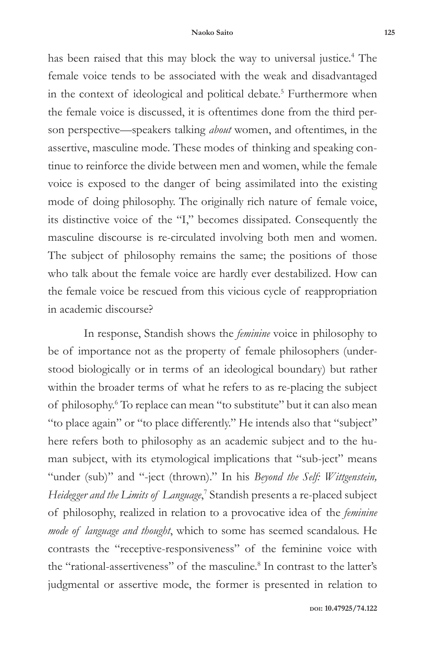has been raised that this may block the way to universal justice.<sup>4</sup> The female voice tends to be associated with the weak and disadvantaged in the context of ideological and political debate.<sup>5</sup> Furthermore when the female voice is discussed, it is oftentimes done from the third person perspective—speakers talking *about* women, and oftentimes, in the assertive, masculine mode. These modes of thinking and speaking continue to reinforce the divide between men and women, while the female voice is exposed to the danger of being assimilated into the existing mode of doing philosophy. The originally rich nature of female voice, its distinctive voice of the "I," becomes dissipated. Consequently the masculine discourse is re-circulated involving both men and women. The subject of philosophy remains the same; the positions of those who talk about the female voice are hardly ever destabilized. How can the female voice be rescued from this vicious cycle of reappropriation in academic discourse?

In response, Standish shows the *feminine* voice in philosophy to be of importance not as the property of female philosophers (understood biologically or in terms of an ideological boundary) but rather within the broader terms of what he refers to as re-placing the subject of philosophy.<sup>6</sup> To replace can mean "to substitute" but it can also mean "to place again" or "to place differently." He intends also that "subject" here refers both to philosophy as an academic subject and to the human subject, with its etymological implications that "sub-ject" means "under (sub)" and "-ject (thrown)." In his *Beyond the Self: Wittgenstein,*  Heidegger and the Limits of Language,<sup>7</sup> Standish presents a re-placed subject of philosophy, realized in relation to a provocative idea of the *feminine mode of language and thought*, which to some has seemed scandalous. He contrasts the "receptive-responsiveness" of the feminine voice with the "rational-assertiveness" of the masculine.<sup>8</sup> In contrast to the latter's judgmental or assertive mode, the former is presented in relation to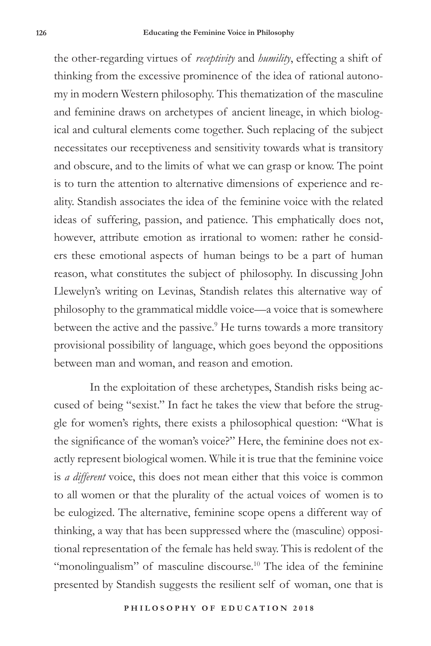the other-regarding virtues of *receptivity* and *humility*, effecting a shift of thinking from the excessive prominence of the idea of rational autonomy in modern Western philosophy. This thematization of the masculine and feminine draws on archetypes of ancient lineage, in which biological and cultural elements come together. Such replacing of the subject necessitates our receptiveness and sensitivity towards what is transitory and obscure, and to the limits of what we can grasp or know. The point is to turn the attention to alternative dimensions of experience and reality. Standish associates the idea of the feminine voice with the related ideas of suffering, passion, and patience. This emphatically does not, however, attribute emotion as irrational to women: rather he considers these emotional aspects of human beings to be a part of human reason, what constitutes the subject of philosophy. In discussing John Llewelyn's writing on Levinas, Standish relates this alternative way of philosophy to the grammatical middle voice—a voice that is somewhere between the active and the passive.<sup>9</sup> He turns towards a more transitory provisional possibility of language, which goes beyond the oppositions between man and woman, and reason and emotion.

In the exploitation of these archetypes, Standish risks being accused of being "sexist." In fact he takes the view that before the struggle for women's rights, there exists a philosophical question: "What is the significance of the woman's voice?" Here, the feminine does not exactly represent biological women. While it is true that the feminine voice is *a different* voice, this does not mean either that this voice is common to all women or that the plurality of the actual voices of women is to be eulogized. The alternative, feminine scope opens a different way of thinking, a way that has been suppressed where the (masculine) oppositional representation of the female has held sway. This is redolent of the "monolingualism" of masculine discourse.<sup>10</sup> The idea of the feminine presented by Standish suggests the resilient self of woman, one that is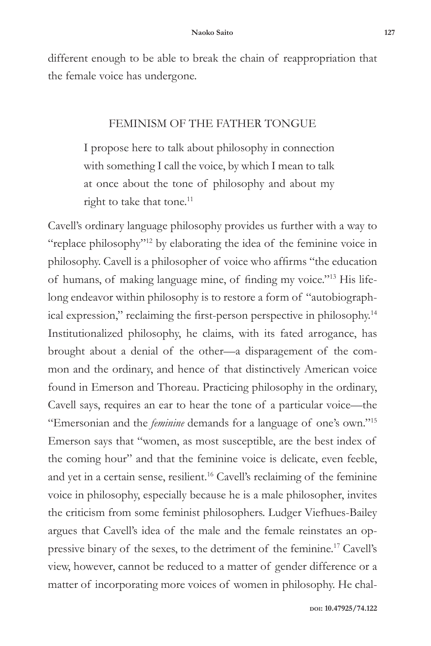different enough to be able to break the chain of reappropriation that the female voice has undergone.

#### FEMINISM OF THE FATHER TONGUE

I propose here to talk about philosophy in connection with something I call the voice, by which I mean to talk at once about the tone of philosophy and about my right to take that tone.<sup>11</sup>

Cavell's ordinary language philosophy provides us further with a way to "replace philosophy"12 by elaborating the idea of the feminine voice in philosophy. Cavell is a philosopher of voice who affirms "the education of humans, of making language mine, of finding my voice."13 His lifelong endeavor within philosophy is to restore a form of "autobiographical expression," reclaiming the first-person perspective in philosophy.<sup>14</sup> Institutionalized philosophy, he claims, with its fated arrogance, has brought about a denial of the other—a disparagement of the common and the ordinary, and hence of that distinctively American voice found in Emerson and Thoreau. Practicing philosophy in the ordinary, Cavell says, requires an ear to hear the tone of a particular voice—the "Emersonian and the *feminine* demands for a language of one's own."15 Emerson says that "women, as most susceptible, are the best index of the coming hour" and that the feminine voice is delicate, even feeble, and yet in a certain sense, resilient.16 Cavell's reclaiming of the feminine voice in philosophy, especially because he is a male philosopher, invites the criticism from some feminist philosophers. Ludger Viefhues-Bailey argues that Cavell's idea of the male and the female reinstates an oppressive binary of the sexes, to the detriment of the feminine.17 Cavell's view, however, cannot be reduced to a matter of gender difference or a matter of incorporating more voices of women in philosophy. He chal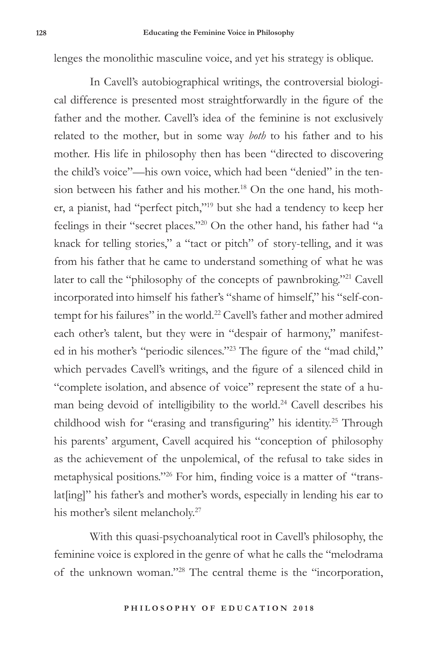lenges the monolithic masculine voice, and yet his strategy is oblique.

In Cavell's autobiographical writings, the controversial biological difference is presented most straightforwardly in the figure of the father and the mother. Cavell's idea of the feminine is not exclusively related to the mother, but in some way *both* to his father and to his mother. His life in philosophy then has been "directed to discovering the child's voice"—his own voice, which had been "denied" in the tension between his father and his mother.18 On the one hand, his mother, a pianist, had "perfect pitch,"19 but she had a tendency to keep her feelings in their "secret places."20 On the other hand, his father had "a knack for telling stories," a "tact or pitch" of story-telling, and it was from his father that he came to understand something of what he was later to call the "philosophy of the concepts of pawnbroking."21 Cavell incorporated into himself his father's "shame of himself," his "self-contempt for his failures" in the world.<sup>22</sup> Cavell's father and mother admired each other's talent, but they were in "despair of harmony," manifested in his mother's "periodic silences."23 The figure of the "mad child," which pervades Cavell's writings, and the figure of a silenced child in "complete isolation, and absence of voice" represent the state of a human being devoid of intelligibility to the world.24 Cavell describes his childhood wish for "erasing and transfiguring" his identity.25 Through his parents' argument, Cavell acquired his "conception of philosophy as the achievement of the unpolemical, of the refusal to take sides in metaphysical positions."26 For him, finding voice is a matter of "translat[ing]" his father's and mother's words, especially in lending his ear to his mother's silent melancholy.<sup>27</sup>

With this quasi-psychoanalytical root in Cavell's philosophy, the feminine voice is explored in the genre of what he calls the "melodrama of the unknown woman."28 The central theme is the "incorporation,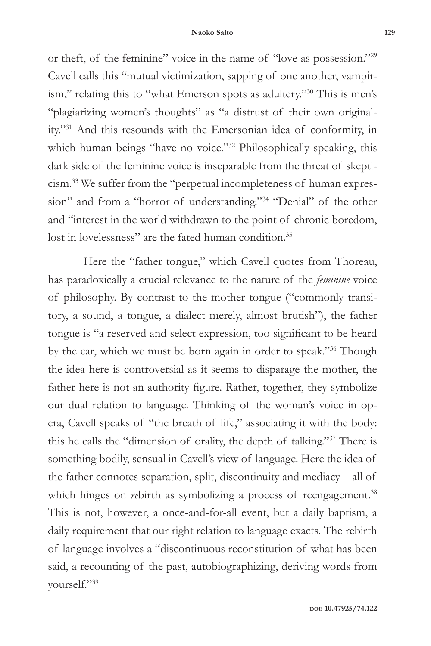or theft, of the feminine" voice in the name of "love as possession."29 Cavell calls this "mutual victimization, sapping of one another, vampirism," relating this to "what Emerson spots as adultery."30 This is men's "plagiarizing women's thoughts" as "a distrust of their own originality."31 And this resounds with the Emersonian idea of conformity, in which human beings "have no voice."<sup>32</sup> Philosophically speaking, this dark side of the feminine voice is inseparable from the threat of skepticism.33 We suffer from the "perpetual incompleteness of human expression" and from a "horror of understanding."<sup>34</sup> "Denial" of the other and "interest in the world withdrawn to the point of chronic boredom, lost in lovelessness" are the fated human condition.<sup>35</sup>

Here the "father tongue," which Cavell quotes from Thoreau, has paradoxically a crucial relevance to the nature of the *feminine* voice of philosophy. By contrast to the mother tongue ("commonly transitory, a sound, a tongue, a dialect merely, almost brutish"), the father tongue is "a reserved and select expression, too significant to be heard by the ear, which we must be born again in order to speak."36 Though the idea here is controversial as it seems to disparage the mother, the father here is not an authority figure. Rather, together, they symbolize our dual relation to language. Thinking of the woman's voice in opera, Cavell speaks of "the breath of life," associating it with the body: this he calls the "dimension of orality, the depth of talking."37 There is something bodily, sensual in Cavell's view of language. Here the idea of the father connotes separation, split, discontinuity and mediacy—all of which hinges on *re*birth as symbolizing a process of reengagement.<sup>38</sup> This is not, however, a once-and-for-all event, but a daily baptism, a daily requirement that our right relation to language exacts. The rebirth of language involves a "discontinuous reconstitution of what has been said, a recounting of the past, autobiographizing, deriving words from yourself."39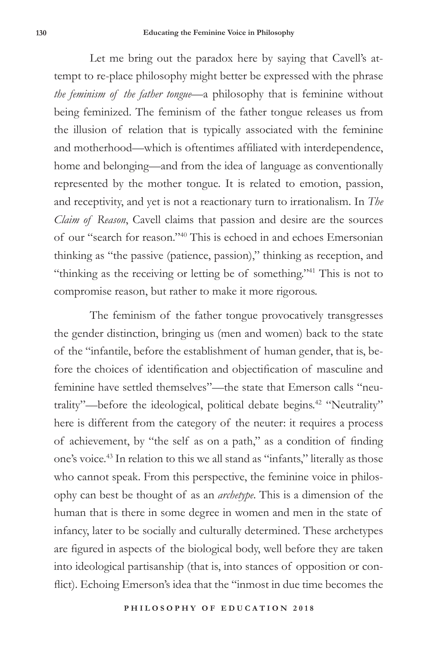Let me bring out the paradox here by saying that Cavell's attempt to re-place philosophy might better be expressed with the phrase *the feminism of the father tongue—*a philosophy that is feminine without being feminized. The feminism of the father tongue releases us from the illusion of relation that is typically associated with the feminine and motherhood—which is oftentimes affiliated with interdependence, home and belonging—and from the idea of language as conventionally represented by the mother tongue. It is related to emotion, passion, and receptivity, and yet is not a reactionary turn to irrationalism. In *The Claim of Reason*, Cavell claims that passion and desire are the sources of our "search for reason."40 This is echoed in and echoes Emersonian thinking as "the passive (patience, passion)," thinking as reception, and "thinking as the receiving or letting be of something."41 This is not to compromise reason, but rather to make it more rigorous.

The feminism of the father tongue provocatively transgresses the gender distinction, bringing us (men and women) back to the state of the "infantile, before the establishment of human gender, that is, before the choices of identification and objectification of masculine and feminine have settled themselves"—the state that Emerson calls "neutrality"—before the ideological, political debate begins.<sup>42</sup> "Neutrality" here is different from the category of the neuter: it requires a process of achievement, by "the self as on a path," as a condition of finding one's voice.43 In relation to this we all stand as "infants," literally as those who cannot speak. From this perspective, the feminine voice in philosophy can best be thought of as an *archetype*. This is a dimension of the human that is there in some degree in women and men in the state of infancy, later to be socially and culturally determined. These archetypes are figured in aspects of the biological body, well before they are taken into ideological partisanship (that is, into stances of opposition or conflict). Echoing Emerson's idea that the "inmost in due time becomes the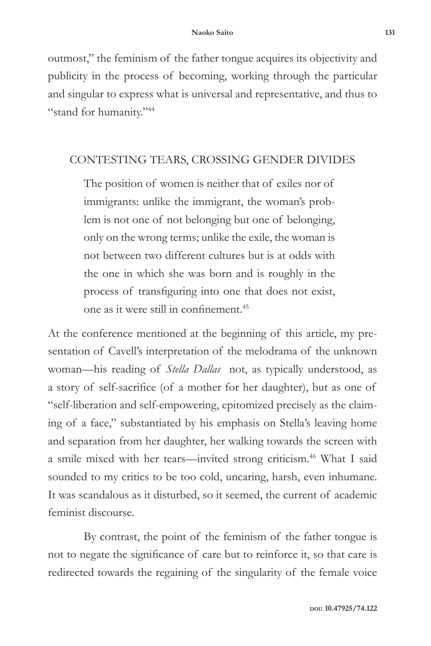outmost," the feminism of the father tongue acquires its objectivity and publicity in the process of becoming, working through the particular and singular to express what is universal and representative, and thus to "stand for humanity."44

#### CONTESTING TEARS, CROSSING GENDER DIVIDES

The position of women is neither that of exiles nor of immigrants: unlike the immigrant, the woman's problem is not one of not belonging but one of belonging, only on the wrong terms; unlike the exile, the woman is not between two different cultures but is at odds with the one in which she was born and is roughly in the process of transfiguring into one that does not exist, one as it were still in confinement.<sup>45</sup>

At the conference mentioned at the beginning of this article, my presentation of Cavell's interpretation of the melodrama of the unknown woman—his reading of *Stella Dallas* not, as typically understood, as a story of self-sacrifice (of a mother for her daughter), but as one of "self-liberation and self-empowering, epitomized precisely as the claiming of a face," substantiated by his emphasis on Stella's leaving home and separation from her daughter, her walking towards the screen with a smile mixed with her tears—invited strong criticism.<sup>46</sup> What I said sounded to my critics to be too cold, uncaring, harsh, even inhumane. It was scandalous as it disturbed, so it seemed, the current of academic feminist discourse.

By contrast, the point of the feminism of the father tongue is not to negate the significance of care but to reinforce it, so that care is redirected towards the regaining of the singularity of the female voice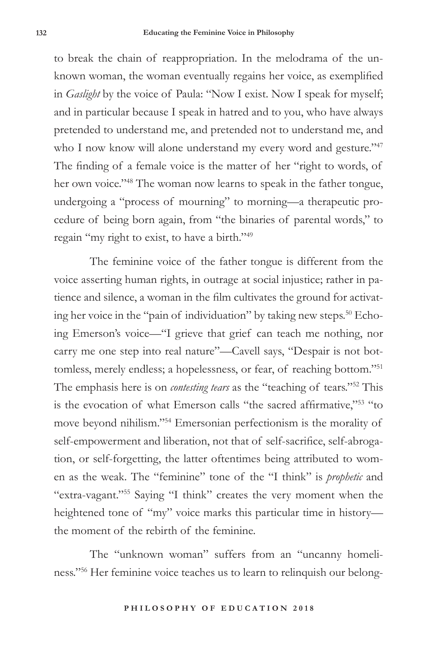to break the chain of reappropriation. In the melodrama of the unknown woman, the woman eventually regains her voice, as exemplified in *Gaslight* by the voice of Paula: "Now I exist. Now I speak for myself; and in particular because I speak in hatred and to you, who have always pretended to understand me, and pretended not to understand me, and who I now know will alone understand my every word and gesture."<sup>47</sup> The finding of a female voice is the matter of her "right to words, of her own voice."48 The woman now learns to speak in the father tongue, undergoing a "process of mourning" to morning—a therapeutic procedure of being born again, from "the binaries of parental words," to regain "my right to exist, to have a birth."49

The feminine voice of the father tongue is different from the voice asserting human rights, in outrage at social injustice; rather in patience and silence, a woman in the film cultivates the ground for activating her voice in the "pain of individuation" by taking new steps.<sup>50</sup> Echoing Emerson's voice—"I grieve that grief can teach me nothing, nor carry me one step into real nature"—Cavell says, "Despair is not bottomless, merely endless; a hopelessness, or fear, of reaching bottom."51 The emphasis here is on *contesting tears* as the "teaching of tears."52 This is the evocation of what Emerson calls "the sacred affirmative,"53 "to move beyond nihilism."54 Emersonian perfectionism is the morality of self-empowerment and liberation, not that of self-sacrifice, self-abrogation, or self-forgetting, the latter oftentimes being attributed to women as the weak. The "feminine" tone of the "I think" is *prophetic* and "extra-vagant."55 Saying "I think" creates the very moment when the heightened tone of "my" voice marks this particular time in history the moment of the rebirth of the feminine.

The "unknown woman" suffers from an "uncanny homeliness."56 Her feminine voice teaches us to learn to relinquish our belong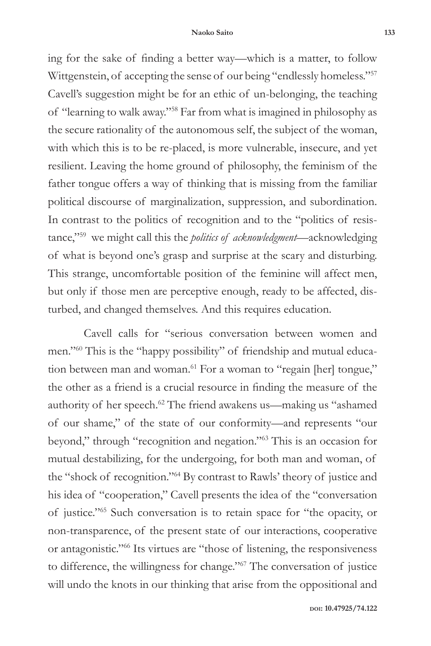ing for the sake of finding a better way—which is a matter, to follow Wittgenstein, of accepting the sense of our being "endlessly homeless."<sup>57</sup> Cavell's suggestion might be for an ethic of un-belonging, the teaching of "learning to walk away."58 Far from what is imagined in philosophy as the secure rationality of the autonomous self, the subject of the woman, with which this is to be re-placed, is more vulnerable, insecure, and yet resilient. Leaving the home ground of philosophy, the feminism of the father tongue offers a way of thinking that is missing from the familiar political discourse of marginalization, suppression, and subordination. In contrast to the politics of recognition and to the "politics of resistance,"59 we might call this the *politics of acknowledgment—*acknowledging of what is beyond one's grasp and surprise at the scary and disturbing. This strange, uncomfortable position of the feminine will affect men, but only if those men are perceptive enough, ready to be affected, disturbed, and changed themselves. And this requires education.

Cavell calls for "serious conversation between women and men."60 This is the "happy possibility" of friendship and mutual education between man and woman.<sup>61</sup> For a woman to "regain [her] tongue," the other as a friend is a crucial resource in finding the measure of the authority of her speech.62 The friend awakens us—making us "ashamed of our shame," of the state of our conformity—and represents "our beyond," through "recognition and negation."63 This is an occasion for mutual destabilizing, for the undergoing, for both man and woman, of the "shock of recognition."64 By contrast to Rawls' theory of justice and his idea of "cooperation," Cavell presents the idea of the "conversation of justice."65 Such conversation is to retain space for "the opacity, or non-transparence, of the present state of our interactions, cooperative or antagonistic."66 Its virtues are "those of listening, the responsiveness to difference, the willingness for change."67 The conversation of justice will undo the knots in our thinking that arise from the oppositional and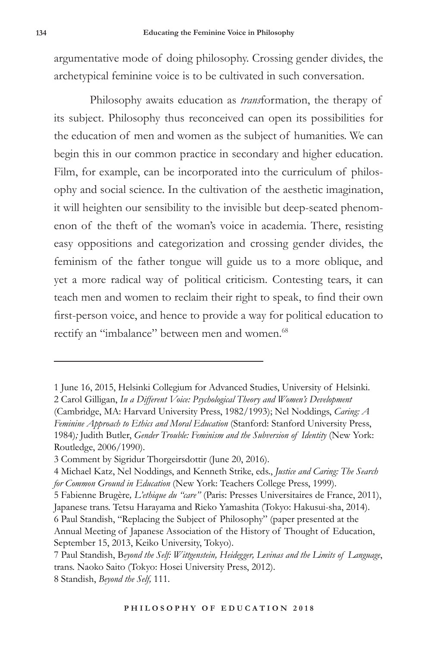argumentative mode of doing philosophy. Crossing gender divides, the archetypical feminine voice is to be cultivated in such conversation.

Philosophy awaits education as *trans*formation, the therapy of its subject. Philosophy thus reconceived can open its possibilities for the education of men and women as the subject of humanities. We can begin this in our common practice in secondary and higher education. Film, for example, can be incorporated into the curriculum of philosophy and social science. In the cultivation of the aesthetic imagination, it will heighten our sensibility to the invisible but deep-seated phenomenon of the theft of the woman's voice in academia. There, resisting easy oppositions and categorization and crossing gender divides, the feminism of the father tongue will guide us to a more oblique, and yet a more radical way of political criticism. Contesting tears, it can teach men and women to reclaim their right to speak, to find their own first-person voice, and hence to provide a way for political education to rectify an "imbalance" between men and women.<sup>68</sup>

5 Fabienne Brugère*, L'ethique du "care"* (Paris: Presses Universitaires de France, 2011), Japanese trans. Tetsu Harayama and Rieko Yamashita (Tokyo: Hakusui-sha, 2014). 6 Paul Standish, "Replacing the Subject of Philosophy" (paper presented at the Annual Meeting of Japanese Association of the History of Thought of Education,

<sup>1</sup> June 16, 2015, Helsinki Collegium for Advanced Studies, University of Helsinki. 2 Carol Gilligan, *In a Different Voice: Psychological Theory and Women's Development* (Cambridge, MA: Harvard University Press, 1982/1993); Nel Noddings, *Caring: A Feminine Approach to Ethics and Moral Education* (Stanford: Stanford University Press, 1984)*;* Judith Butler, *Gender Trouble: Feminism and the Subversion of Identity* (New York: Routledge, 2006/1990).

<sup>3</sup> Comment by Sigridur Thorgeirsdottir (June 20, 2016).

<sup>4</sup> Michael Katz, Nel Noddings, and Kenneth Strike, eds., *Justice and Caring: The Search for Common Ground in Education* (New York: Teachers College Press, 1999).

September 15, 2013, Keiko University, Tokyo).

<sup>7</sup> Paul Standish, B*eyond the Self: Wittgenstein, Heidegger, Levinas and the Limits of Language*, trans. Naoko Saito (Tokyo: Hosei University Press, 2012). 8 Standish, *Beyond the Self,* 111.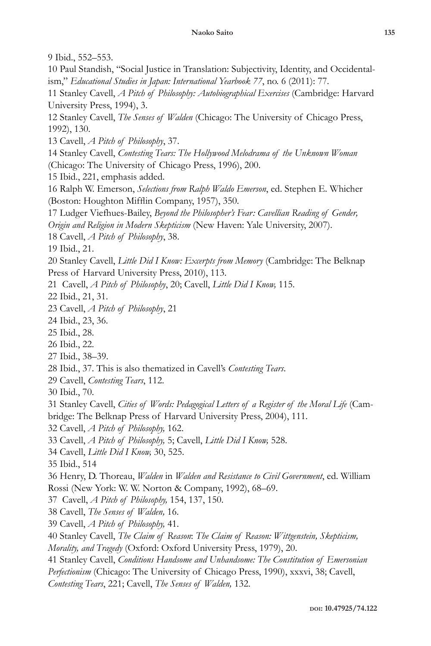9 Ibid., 552–553.

10 Paul Standish, "Social Justice in Translation: Subjectivity, Identity, and Occidentalism," *Educational Studies in Japan: International Yearbook 77*, no. 6 (2011): 77.

11 Stanley Cavell, *A Pitch of Philosophy: Autobiographical Exercises* (Cambridge: Harvard University Press, 1994), 3.

12 Stanley Cavell, *The Senses of Walden* (Chicago: The University of Chicago Press, 1992), 130.

13 Cavell, *A Pitch of Philosophy*, 37.

14 Stanley Cavell, *Contesting Tears: The Hollywood Melodrama of the Unknown Woman* (Chicago: The University of Chicago Press, 1996), 200.

15 Ibid., 221, emphasis added.

16 Ralph W. Emerson, *Selections from Ralph Waldo Emerson*, ed. Stephen E. Whicher (Boston: Houghton Mifflin Company, 1957), 350.

17 Ludger Viefhues-Bailey, *Beyond the Philosopher's Fear: Cavellian Reading of Gender,* 

*Origin and Religion in Modern Skepticism* (New Haven: Yale University, 2007).

18 Cavell, *A Pitch of Philosophy*, 38.

19 Ibid., 21.

20 Stanley Cavell, *Little Did I Know: Excerpts from Memory* (Cambridge: The Belknap Press of Harvard University Press, 2010), 113.

21 Cavell, *A Pitch of Philosophy*, 20; Cavell, *Little Did I Know,* 115.

22 Ibid., 21, 31.

23 Cavell, *A Pitch of Philosophy*, 21

24 Ibid., 23, 36.

25 Ibid., 28.

26 Ibid., 22.

27 Ibid., 38–39.

28 Ibid., 37. This is also thematized in Cavell's *Contesting Tears*.

29 Cavell, *Contesting Tears*, 112.

30 Ibid., 70.

31 Stanley Cavell, *Cities of Words: Pedagogical Letters of a Register of the Moral Life* (Cam-

bridge: The Belknap Press of Harvard University Press, 2004), 111.

32 Cavell, *A Pitch of Philosophy,* 162.

33 Cavell, *A Pitch of Philosophy,* 5; Cavell, *Little Did I Know,* 528.

34 Cavell, *Little Did I Know,* 30, 525.

35 Ibid., 514

36 Henry, D. Thoreau, *Walden* in *Walden and Resistance to Civil Government*, ed. William Rossi (New York: W. W. Norton & Company, 1992), 68–69.

37 Cavell, *A Pitch of Philosophy,* 154, 137, 150.

38 Cavell, *The Senses of Walden,* 16.

39 Cavell, *A Pitch of Philosophy,* 41.

40 Stanley Cavell, *The Claim of Reason*: *The Claim of Reason: Wittgenstein, Skepticism,* 

*Morality, and Tragedy* (Oxford: Oxford University Press, 1979), 20.

41 Stanley Cavell, *Conditions Handsome and Unhandsome: The Constitution of Emersonian* 

*Perfectionism* (Chicago: The University of Chicago Press, 1990), xxxvi, 38; Cavell,

*Contesting Tears*, 221; Cavell, *The Senses of Walden,* 132.